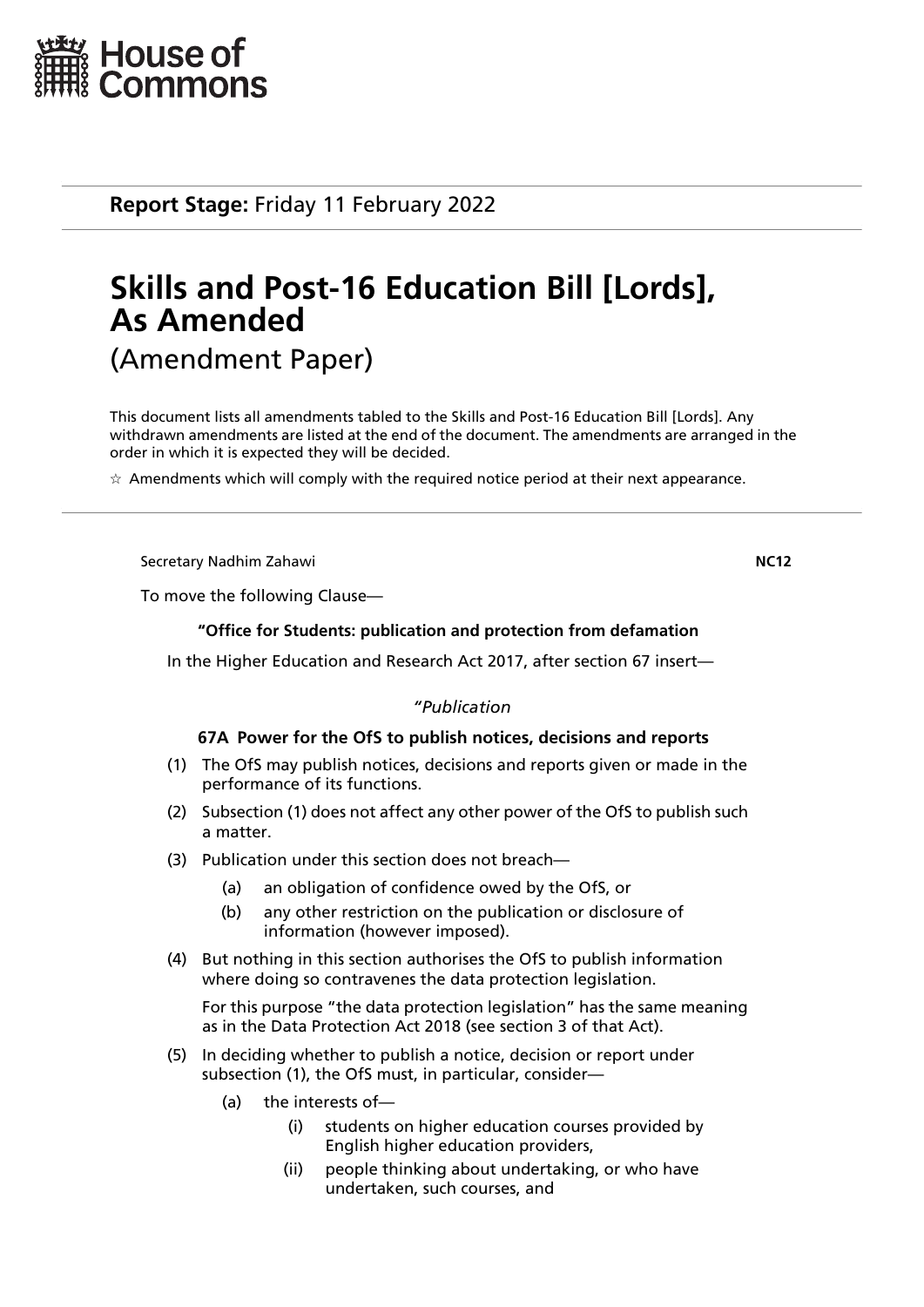

**Report Stage:** Friday 11 February 2022

# **Skills and Post-16 Education Bill [Lords], As Amended** (Amendment Paper)

This document lists all amendments tabled to the Skills and Post-16 Education Bill [Lords]. Any withdrawn amendments are listed at the end of the document. The amendments are arranged in the order in which it is expected they will be decided.

 $\star$  Amendments which will comply with the required notice period at their next appearance.

Secretary Nadhim Zahawi **NC12**

To move the following Clause—

# **"Office for Students: publication and protection from defamation**

In the Higher Education and Research Act 2017, after section 67 insert—

# *"Publication*

# **67A Power for the OfS to publish notices, decisions and reports**

- (1) The OfS may publish notices, decisions and reports given or made in the performance of its functions.
- (2) Subsection (1) does not affect any other power of the OfS to publish such a matter.
- (3) Publication under this section does not breach—
	- (a) an obligation of confidence owed by the OfS, or
	- (b) any other restriction on the publication or disclosure of information (however imposed).
- (4) But nothing in this section authorises the OfS to publish information where doing so contravenes the data protection legislation.

For this purpose "the data protection legislation" has the same meaning as in the Data Protection Act 2018 (see section 3 of that Act).

- (5) In deciding whether to publish a notice, decision or report under subsection (1), the OfS must, in particular, consider—
	- (a) the interests of—
		- (i) students on higher education courses provided by English higher education providers,
		- (ii) people thinking about undertaking, or who have undertaken, such courses, and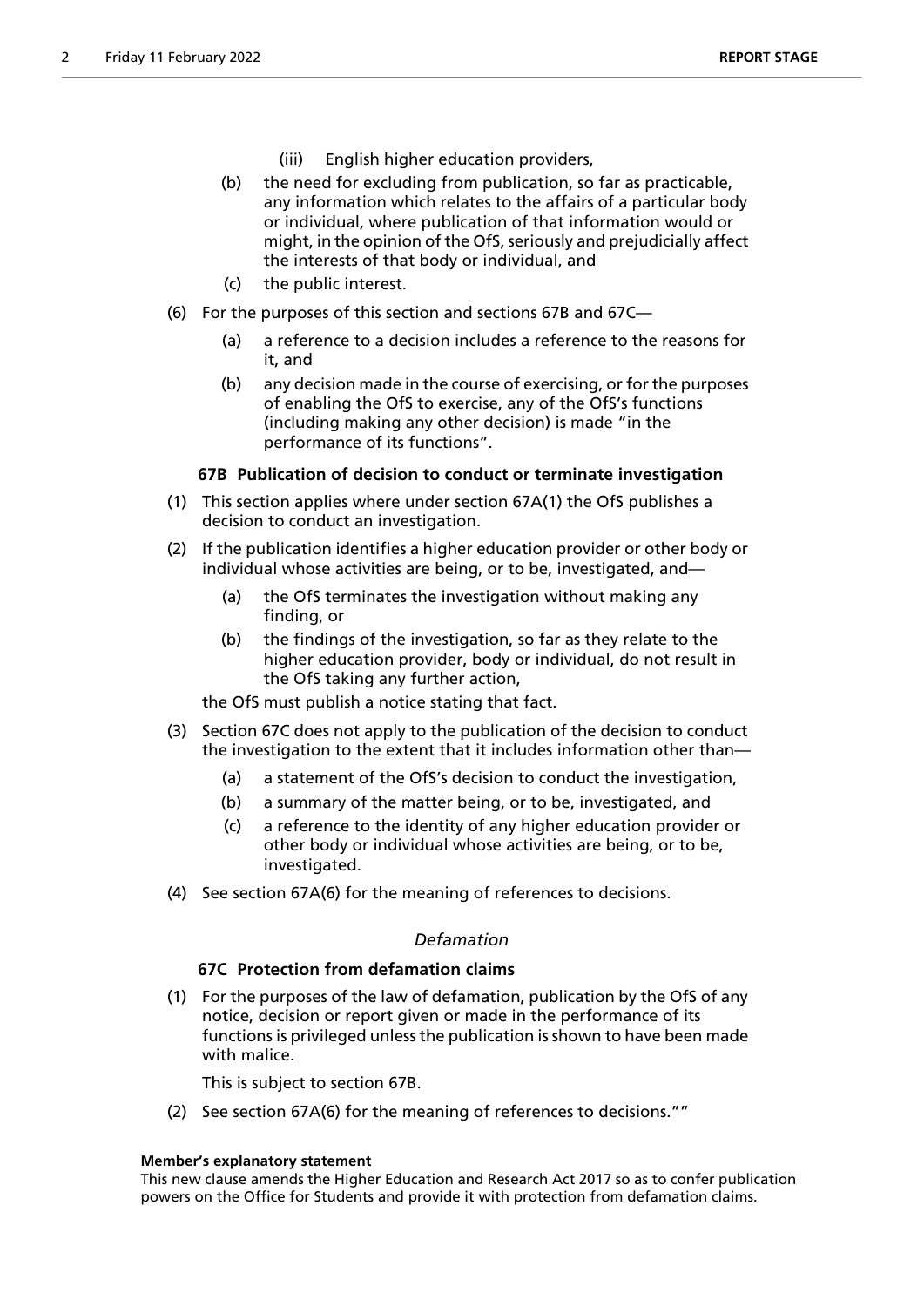- (iii) English higher education providers,
- (b) the need for excluding from publication, so far as practicable, any information which relates to the affairs of a particular body or individual, where publication of that information would or might, in the opinion of the OfS, seriously and prejudicially affect the interests of that body or individual, and
- (c) the public interest.
- (6) For the purposes of this section and sections 67B and 67C—
	- (a) a reference to a decision includes a reference to the reasons for it, and
	- (b) any decision made in the course of exercising, or for the purposes of enabling the OfS to exercise, any of the OfS's functions (including making any other decision) is made "in the performance of its functions".

# **67B Publication of decision to conduct or terminate investigation**

- (1) This section applies where under section 67A(1) the OfS publishes a decision to conduct an investigation.
- (2) If the publication identifies a higher education provider or other body or individual whose activities are being, or to be, investigated, and—
	- (a) the OfS terminates the investigation without making any finding, or
	- (b) the findings of the investigation, so far as they relate to the higher education provider, body or individual, do not result in the OfS taking any further action,

the OfS must publish a notice stating that fact.

- (3) Section 67C does not apply to the publication of the decision to conduct the investigation to the extent that it includes information other than—
	- (a) a statement of the OfS's decision to conduct the investigation,
	- (b) a summary of the matter being, or to be, investigated, and
	- (c) a reference to the identity of any higher education provider or other body or individual whose activities are being, or to be, investigated.
- (4) See section 67A(6) for the meaning of references to decisions.

# *Defamation*

# **67C Protection from defamation claims**

(1) For the purposes of the law of defamation, publication by the OfS of any notice, decision or report given or made in the performance of its functions is privileged unless the publication is shown to have been made with malice.

This is subject to section 67B.

(2) See section 67A(6) for the meaning of references to decisions.""

# **Member's explanatory statement**

This new clause amends the Higher Education and Research Act 2017 so as to confer publication powers on the Office for Students and provide it with protection from defamation claims.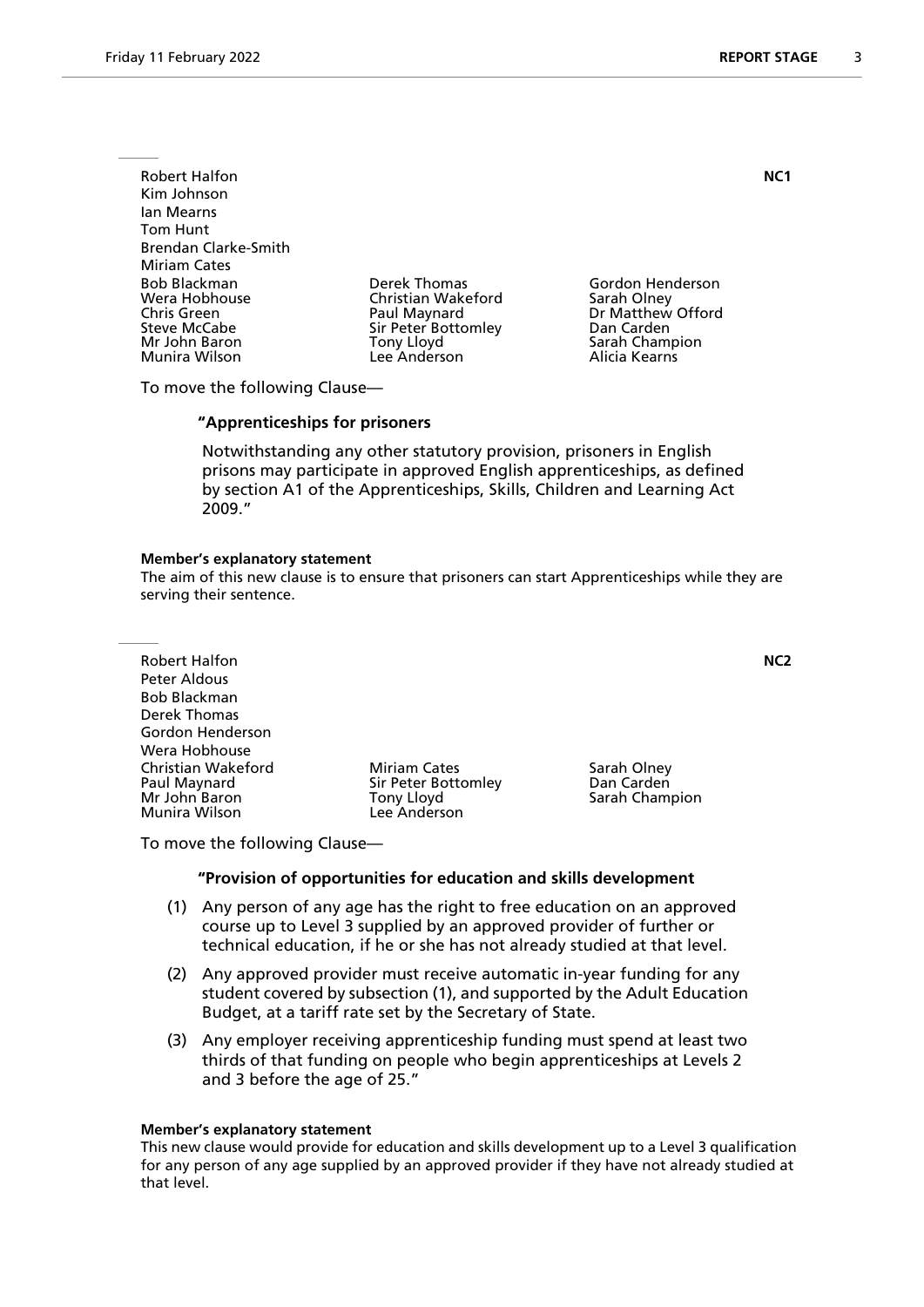Robert Halfon **NC1** Kim Johnson Ian Mearns Tom Hunt Brendan Clarke-Smith Miriam Cates Bob Blackman Derek Thomas Gordon Henderson Wera Hobhouse Christian Wakeford<br>
Chris Green Christian Olau Paul Maynard Chris Green **Paul Maynard** Dr Matthew Offord<br>
Sir Peter Bottomley Dan Carden<br>
Dan Carden Mr John Baron Tony Lloyd Sarah Champion Munira Wilson

Sir Peter Bottomley

To move the following Clause—

#### **"Apprenticeships for prisoners**

 Notwithstanding any other statutory provision, prisoners in English prisons may participate in approved English apprenticeships, as defined by section A1 of the Apprenticeships, Skills, Children and Learning Act 2009."

#### **Member's explanatory statement**

The aim of this new clause is to ensure that prisoners can start Apprenticeships while they are serving their sentence.

Robert Halfon **NC2** Peter Aldous Bob Blackman Derek Thomas Gordon Henderson Wera Hobhouse Christian Wakeford **Miriam Cates** Sarah Olney<br>
Paul Maynard **Miriam Cates** Sir Peter Bottomley **San Carden** Paul Maynard Sir Peter Bottomley<br>
Mr John Baron Saron Conv Lloyd Munira Wilson

Tony Lloyd **Tony Little Sarah Champion**<br>Lee Anderson

To move the following Clause—

#### **"Provision of opportunities for education and skills development**

- (1) Any person of any age has the right to free education on an approved course up to Level 3 supplied by an approved provider of further or technical education, if he or she has not already studied at that level.
- (2) Any approved provider must receive automatic in-year funding for any student covered by subsection (1), and supported by the Adult Education Budget, at a tariff rate set by the Secretary of State.
- (3) Any employer receiving apprenticeship funding must spend at least two thirds of that funding on people who begin apprenticeships at Levels 2 and 3 before the age of 25."

#### **Member's explanatory statement**

This new clause would provide for education and skills development up to a Level 3 qualification for any person of any age supplied by an approved provider if they have not already studied at that level.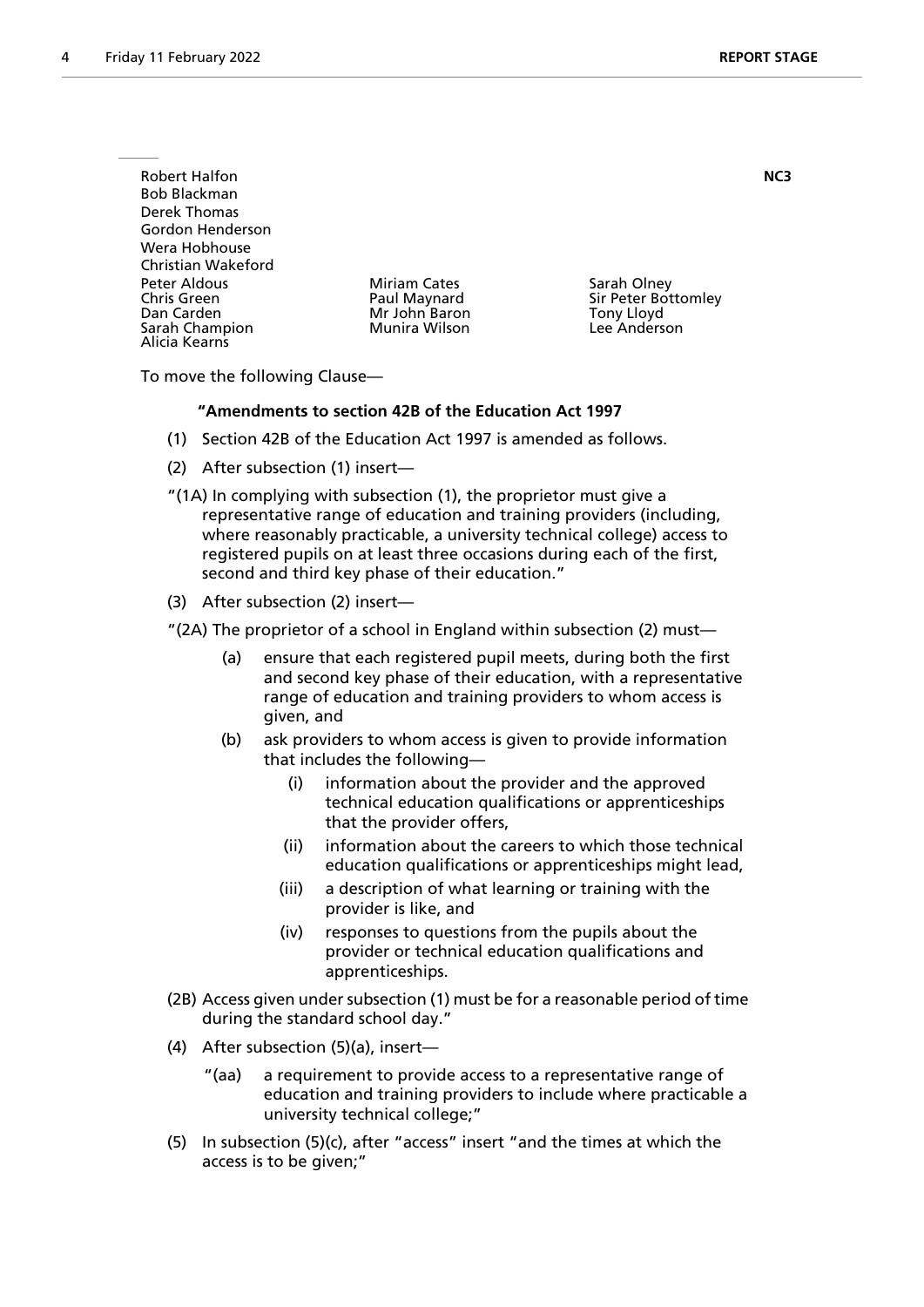| <b>Robert Halfon</b><br>Bob Blackman<br>Derek Thomas<br>Gordon Henderson<br>Wera Hobhouse          |                                                                       |                                                                         | NC3 |
|----------------------------------------------------------------------------------------------------|-----------------------------------------------------------------------|-------------------------------------------------------------------------|-----|
| Christian Wakeford<br>Peter Aldous<br>Chris Green<br>Dan Carden<br>Sarah Champion<br>Alicia Kearns | <b>Miriam Cates</b><br>Paul Maynard<br>Mr John Baron<br>Munira Wilson | Sarah Olney<br>Sir Peter Bottomley<br><b>Tony Lloyd</b><br>Lee Anderson |     |

To move the following Clause—

# **"Amendments to section 42B of the Education Act 1997**

- (1) Section 42B of the Education Act 1997 is amended as follows.
- (2) After subsection (1) insert—
- "(1A) In complying with subsection (1), the proprietor must give a representative range of education and training providers (including, where reasonably practicable, a university technical college) access to registered pupils on at least three occasions during each of the first, second and third key phase of their education."
- (3) After subsection (2) insert—
- "(2A) The proprietor of a school in England within subsection (2) must—
	- (a) ensure that each registered pupil meets, during both the first and second key phase of their education, with a representative range of education and training providers to whom access is given, and
	- (b) ask providers to whom access is given to provide information that includes the following
		- information about the provider and the approved technical education qualifications or apprenticeships that the provider offers,
		- (ii) information about the careers to which those technical education qualifications or apprenticeships might lead,
		- (iii) a description of what learning or training with the provider is like, and
		- (iv) responses to questions from the pupils about the provider or technical education qualifications and apprenticeships.
- (2B) Access given under subsection (1) must be for a reasonable period of time during the standard school day."
- (4) After subsection (5)(a), insert—
	- "(aa) a requirement to provide access to a representative range of education and training providers to include where practicable a university technical college;"
- (5) In subsection (5)(c), after "access" insert "and the times at which the access is to be given;"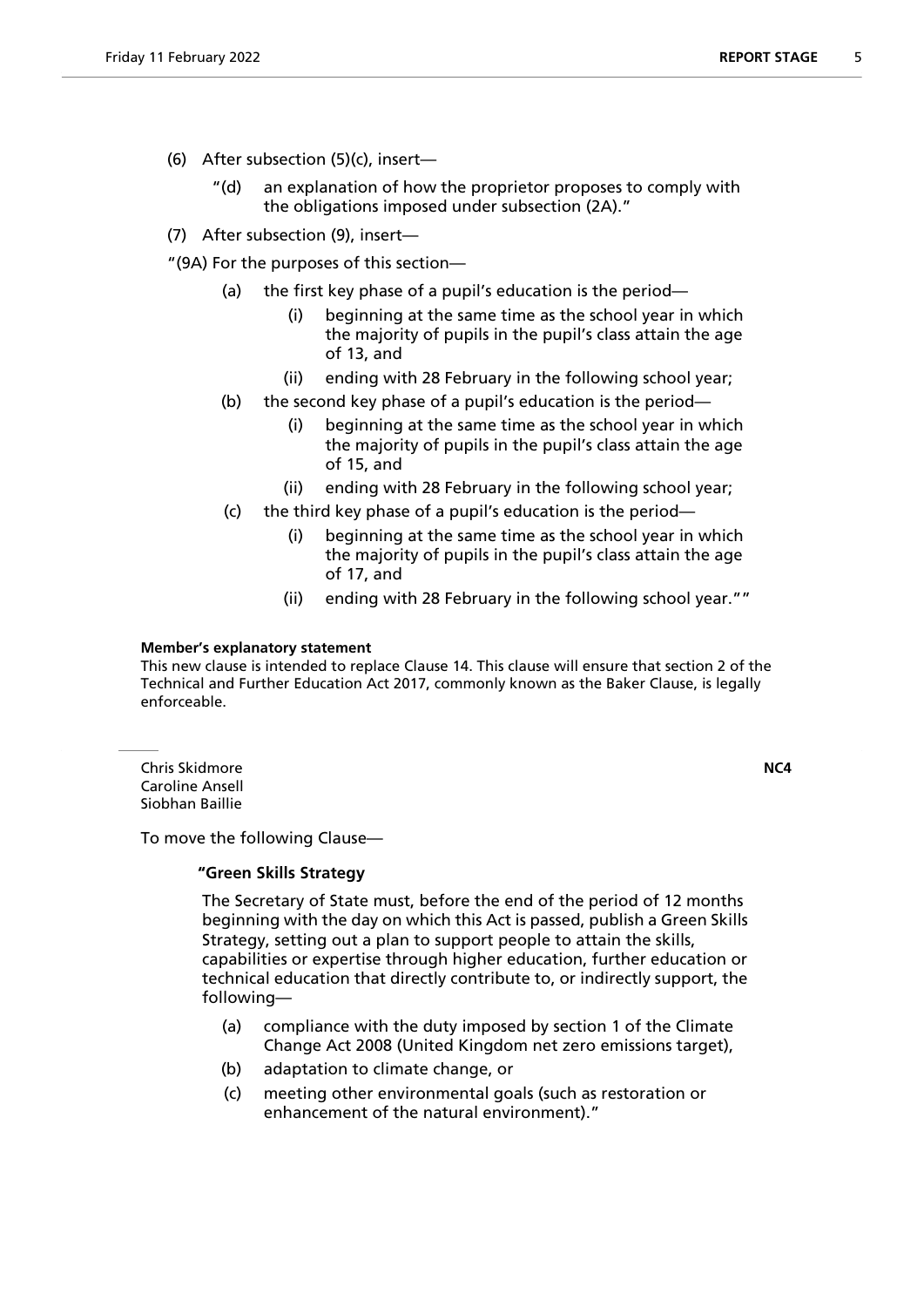- (6) After subsection (5)(c), insert—
	- "(d) an explanation of how the proprietor proposes to comply with the obligations imposed under subsection (2A)."
- (7) After subsection (9), insert—

"(9A) For the purposes of this section—

- (a) the first key phase of a pupil's education is the period—
	- (i) beginning at the same time as the school year in which the majority of pupils in the pupil's class attain the age of 13, and
	- (ii) ending with 28 February in the following school year;
- (b) the second key phase of a pupil's education is the period—
	- (i) beginning at the same time as the school year in which the majority of pupils in the pupil's class attain the age of 15, and
	- (ii) ending with 28 February in the following school year;
- (c) the third key phase of a pupil's education is the period
	- beginning at the same time as the school year in which the majority of pupils in the pupil's class attain the age of 17, and
	- (ii) ending with 28 February in the following school year.""

# **Member's explanatory statement**

This new clause is intended to replace Clause 14. This clause will ensure that section 2 of the Technical and Further Education Act 2017, commonly known as the Baker Clause, is legally enforceable.

Chris Skidmore **NC4** Caroline Ansell Siobhan Baillie

To move the following Clause—

# **"Green Skills Strategy**

 The Secretary of State must, before the end of the period of 12 months beginning with the day on which this Act is passed, publish a Green Skills Strategy, setting out a plan to support people to attain the skills, capabilities or expertise through higher education, further education or technical education that directly contribute to, or indirectly support, the following—

- (a) compliance with the duty imposed by section 1 of the Climate Change Act 2008 (United Kingdom net zero emissions target),
- (b) adaptation to climate change, or
- (c) meeting other environmental goals (such as restoration or enhancement of the natural environment)."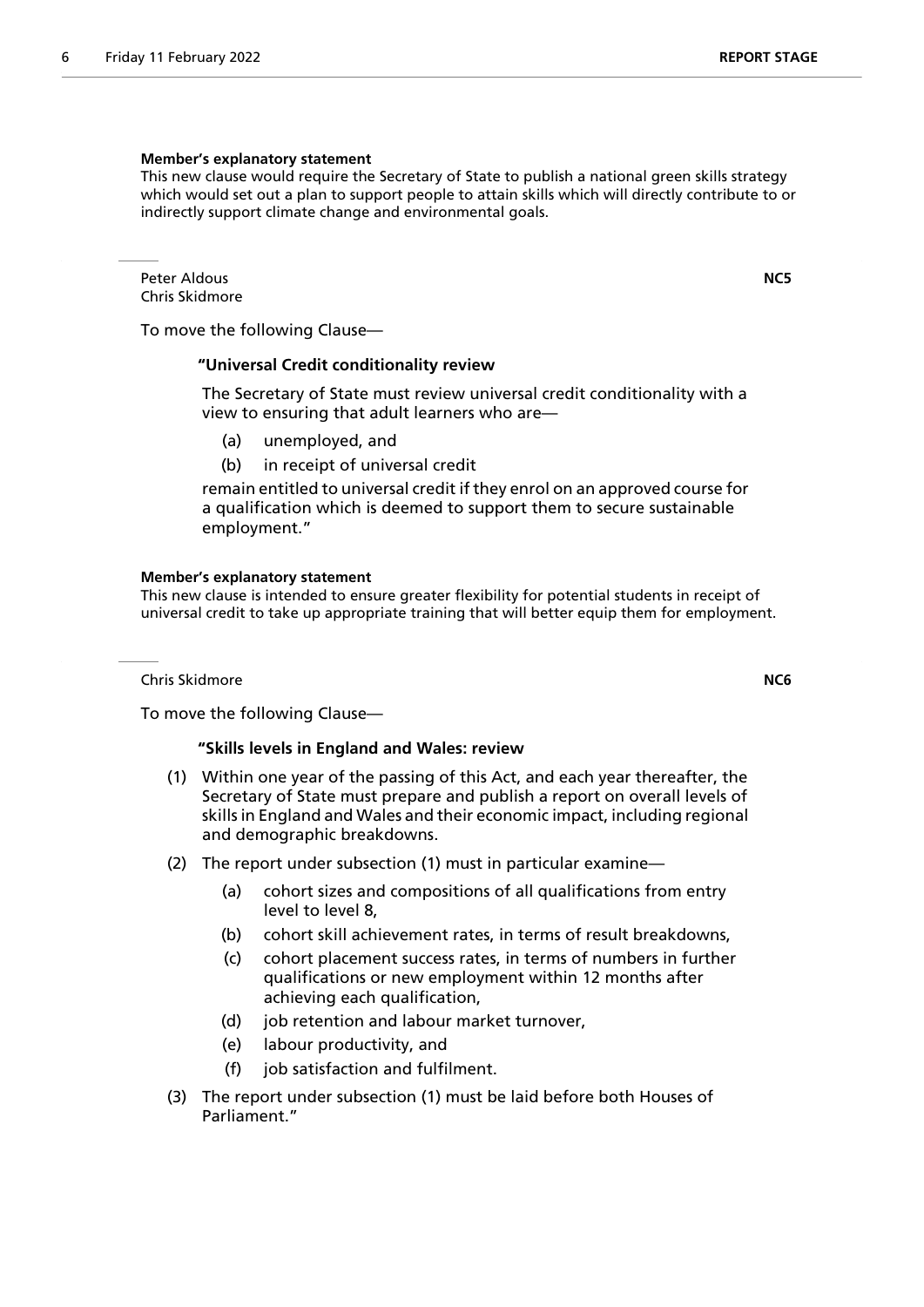#### **Member's explanatory statement**

This new clause would require the Secretary of State to publish a national green skills strategy which would set out a plan to support people to attain skills which will directly contribute to or indirectly support climate change and environmental goals.

Peter Aldous **NC5** Chris Skidmore

To move the following Clause—

# **"Universal Credit conditionality review**

 The Secretary of State must review universal credit conditionality with a view to ensuring that adult learners who are—

- (a) unemployed, and
- (b) in receipt of universal credit

remain entitled to universal credit if they enrol on an approved course for a qualification which is deemed to support them to secure sustainable employment."

#### **Member's explanatory statement**

This new clause is intended to ensure greater flexibility for potential students in receipt of universal credit to take up appropriate training that will better equip them for employment.

Chris Skidmore **NC6**

To move the following Clause—

#### **"Skills levels in England and Wales: review**

- (1) Within one year of the passing of this Act, and each year thereafter, the Secretary of State must prepare and publish a report on overall levels of skills in England and Wales and their economic impact, including regional and demographic breakdowns.
- (2) The report under subsection (1) must in particular examine—
	- (a) cohort sizes and compositions of all qualifications from entry level to level 8,
	- (b) cohort skill achievement rates, in terms of result breakdowns,
	- (c) cohort placement success rates, in terms of numbers in further qualifications or new employment within 12 months after achieving each qualification,
	- (d) job retention and labour market turnover,
	- (e) labour productivity, and
	- (f) job satisfaction and fulfilment.
- (3) The report under subsection (1) must be laid before both Houses of Parliament."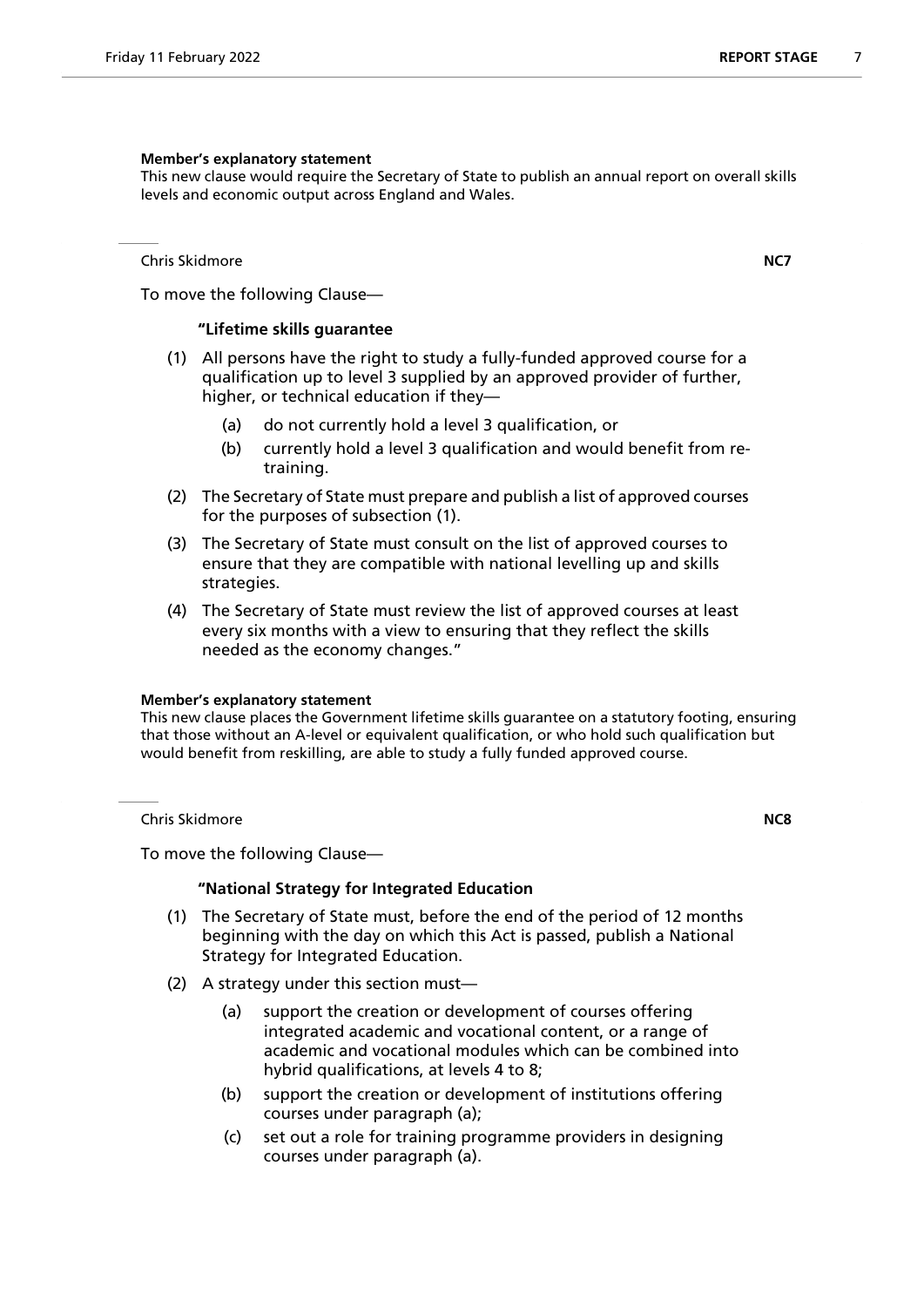#### **Member's explanatory statement**

This new clause would require the Secretary of State to publish an annual report on overall skills levels and economic output across England and Wales.

Chris Skidmore **NC7**

To move the following Clause—

# **"Lifetime skills guarantee**

- (1) All persons have the right to study a fully-funded approved course for a qualification up to level 3 supplied by an approved provider of further, higher, or technical education if they—
	- (a) do not currently hold a level 3 qualification, or
	- (b) currently hold a level 3 qualification and would benefit from retraining.
- (2) The Secretary of State must prepare and publish a list of approved courses for the purposes of subsection (1).
- (3) The Secretary of State must consult on the list of approved courses to ensure that they are compatible with national levelling up and skills strategies.
- (4) The Secretary of State must review the list of approved courses at least every six months with a view to ensuring that they reflect the skills needed as the economy changes."

#### **Member's explanatory statement**

This new clause places the Government lifetime skills guarantee on a statutory footing, ensuring that those without an A-level or equivalent qualification, or who hold such qualification but would benefit from reskilling, are able to study a fully funded approved course.

Chris Skidmore **NC8**

To move the following Clause—

#### **"National Strategy for Integrated Education**

- (1) The Secretary of State must, before the end of the period of 12 months beginning with the day on which this Act is passed, publish a National Strategy for Integrated Education.
- (2) A strategy under this section must—
	- (a) support the creation or development of courses offering integrated academic and vocational content, or a range of academic and vocational modules which can be combined into hybrid qualifications, at levels 4 to 8;
	- (b) support the creation or development of institutions offering courses under paragraph (a);
	- (c) set out a role for training programme providers in designing courses under paragraph (a).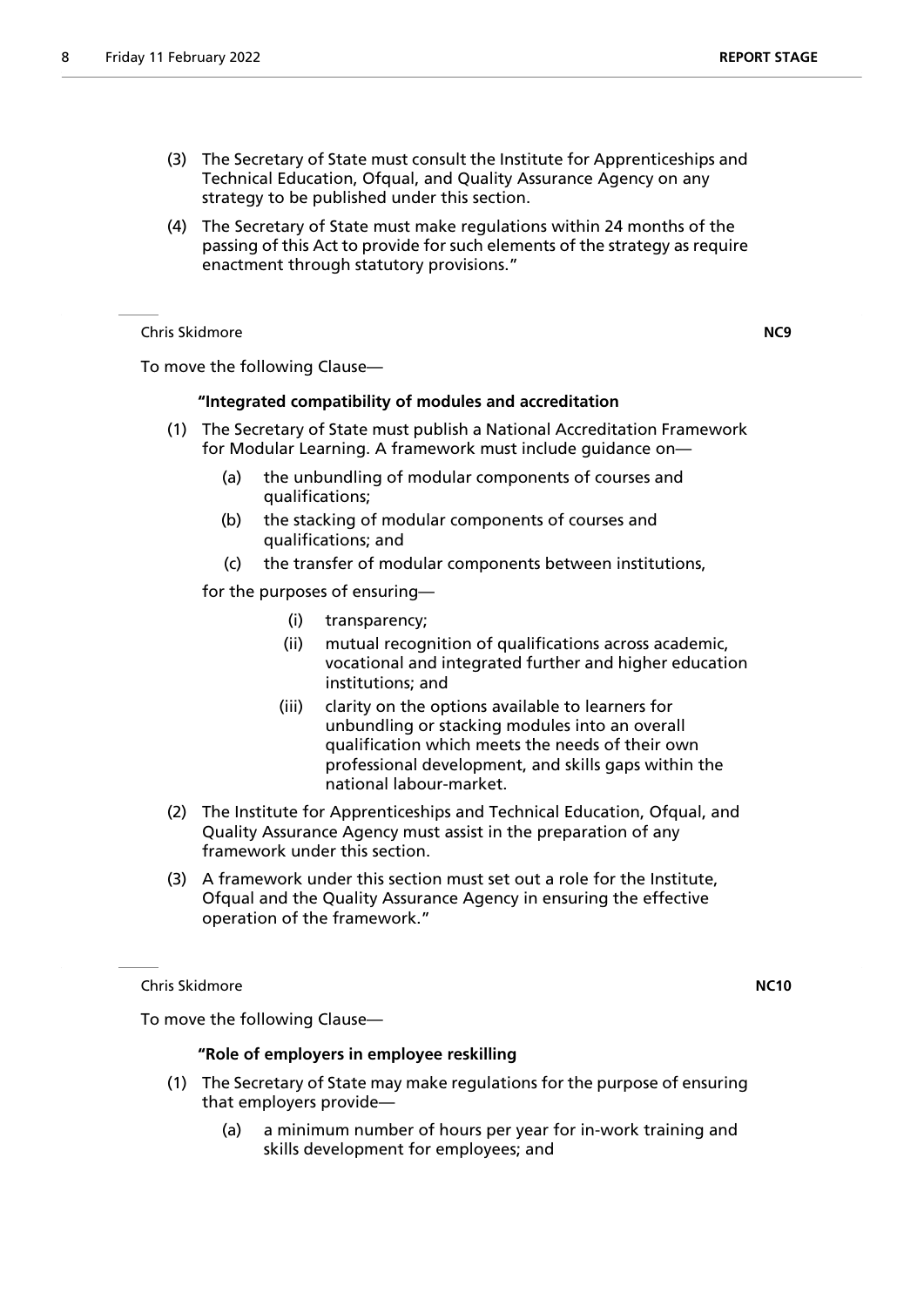- (3) The Secretary of State must consult the Institute for Apprenticeships and Technical Education, Ofqual, and Quality Assurance Agency on any strategy to be published under this section.
- (4) The Secretary of State must make regulations within 24 months of the passing of this Act to provide for such elements of the strategy as require enactment through statutory provisions."

Chris Skidmore **NC9**

To move the following Clause—

# **"Integrated compatibility of modules and accreditation**

- (1) The Secretary of State must publish a National Accreditation Framework for Modular Learning. A framework must include guidance on—
	- (a) the unbundling of modular components of courses and qualifications;
	- (b) the stacking of modular components of courses and qualifications; and
	- (c) the transfer of modular components between institutions,

for the purposes of ensuring—

- (i) transparency;
- (ii) mutual recognition of qualifications across academic, vocational and integrated further and higher education institutions; and
- (iii) clarity on the options available to learners for unbundling or stacking modules into an overall qualification which meets the needs of their own professional development, and skills gaps within the national labour-market.
- (2) The Institute for Apprenticeships and Technical Education, Ofqual, and Quality Assurance Agency must assist in the preparation of any framework under this section.
- (3) A framework under this section must set out a role for the Institute, Ofqual and the Quality Assurance Agency in ensuring the effective operation of the framework."

Chris Skidmore **NC10**

To move the following Clause—

# **"Role of employers in employee reskilling**

- (1) The Secretary of State may make regulations for the purpose of ensuring that employers provide—
	- (a) a minimum number of hours per year for in-work training and skills development for employees; and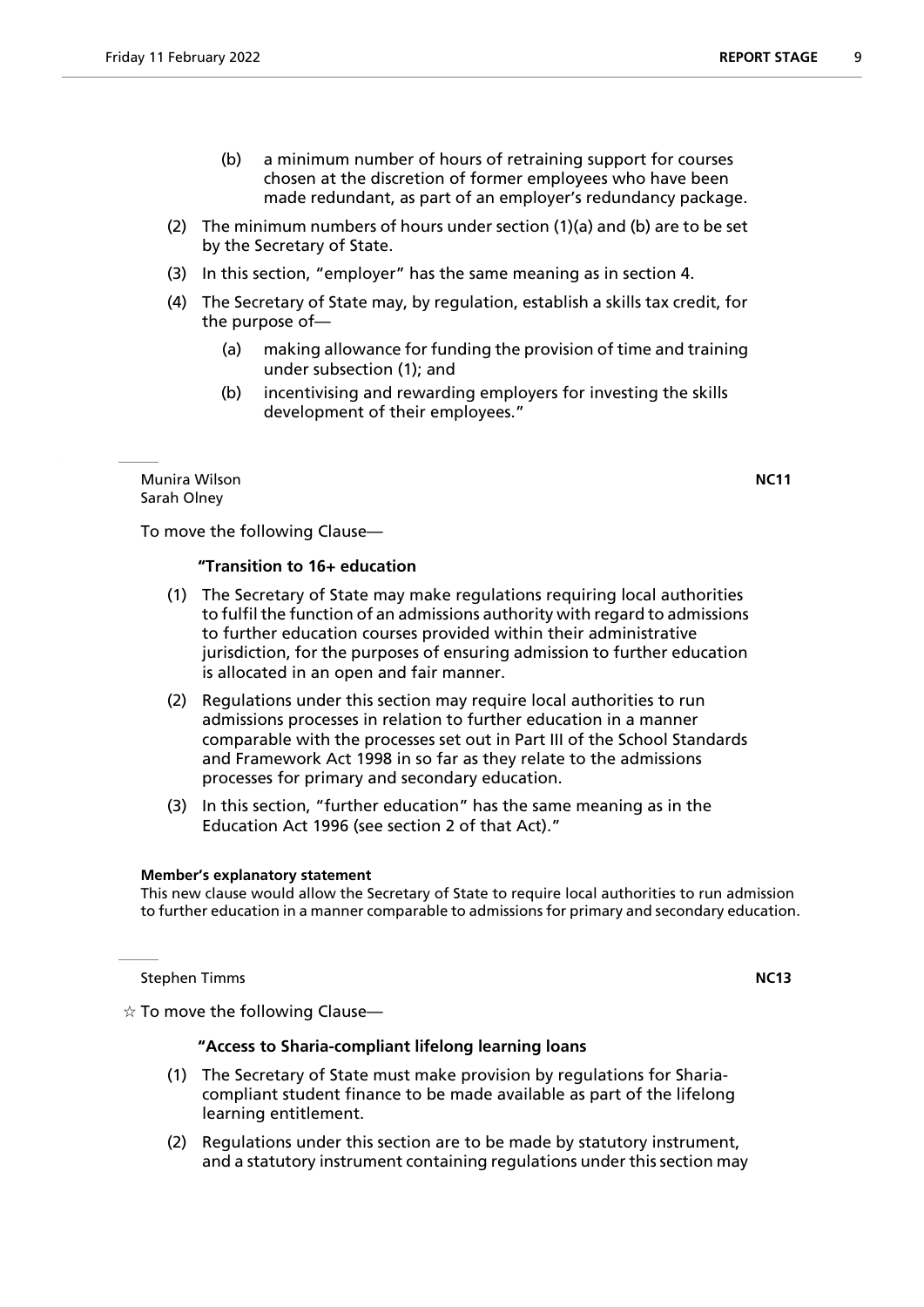- (2) The minimum numbers of hours under section (1)(a) and (b) are to be set by the Secretary of State.
- (3) In this section, "employer" has the same meaning as in section 4.
- (4) The Secretary of State may, by regulation, establish a skills tax credit, for the purpose of—
	- (a) making allowance for funding the provision of time and training under subsection (1); and
	- (b) incentivising and rewarding employers for investing the skills development of their employees."

Munira Wilson **NC11** Sarah Olney

To move the following Clause—

# **"Transition to 16+ education**

- (1) The Secretary of State may make regulations requiring local authorities to fulfil the function of an admissions authority with regard to admissions to further education courses provided within their administrative jurisdiction, for the purposes of ensuring admission to further education is allocated in an open and fair manner.
- (2) Regulations under this section may require local authorities to run admissions processes in relation to further education in a manner comparable with the processes set out in Part III of the School Standards and Framework Act 1998 in so far as they relate to the admissions processes for primary and secondary education.
- (3) In this section, "further education" has the same meaning as in the Education Act 1996 (see section 2 of that Act)."

#### **Member's explanatory statement**

This new clause would allow the Secretary of State to require local authorities to run admission to further education in a manner comparable to admissions for primary and secondary education.

**Stephen Timms NC13** 

 $\dot{\mathbb{X}}$  To move the following Clause—

# **"Access to Sharia-compliant lifelong learning loans**

- (1) The Secretary of State must make provision by regulations for Shariacompliant student finance to be made available as part of the lifelong learning entitlement.
- (2) Regulations under this section are to be made by statutory instrument, and a statutory instrument containing regulations under this section may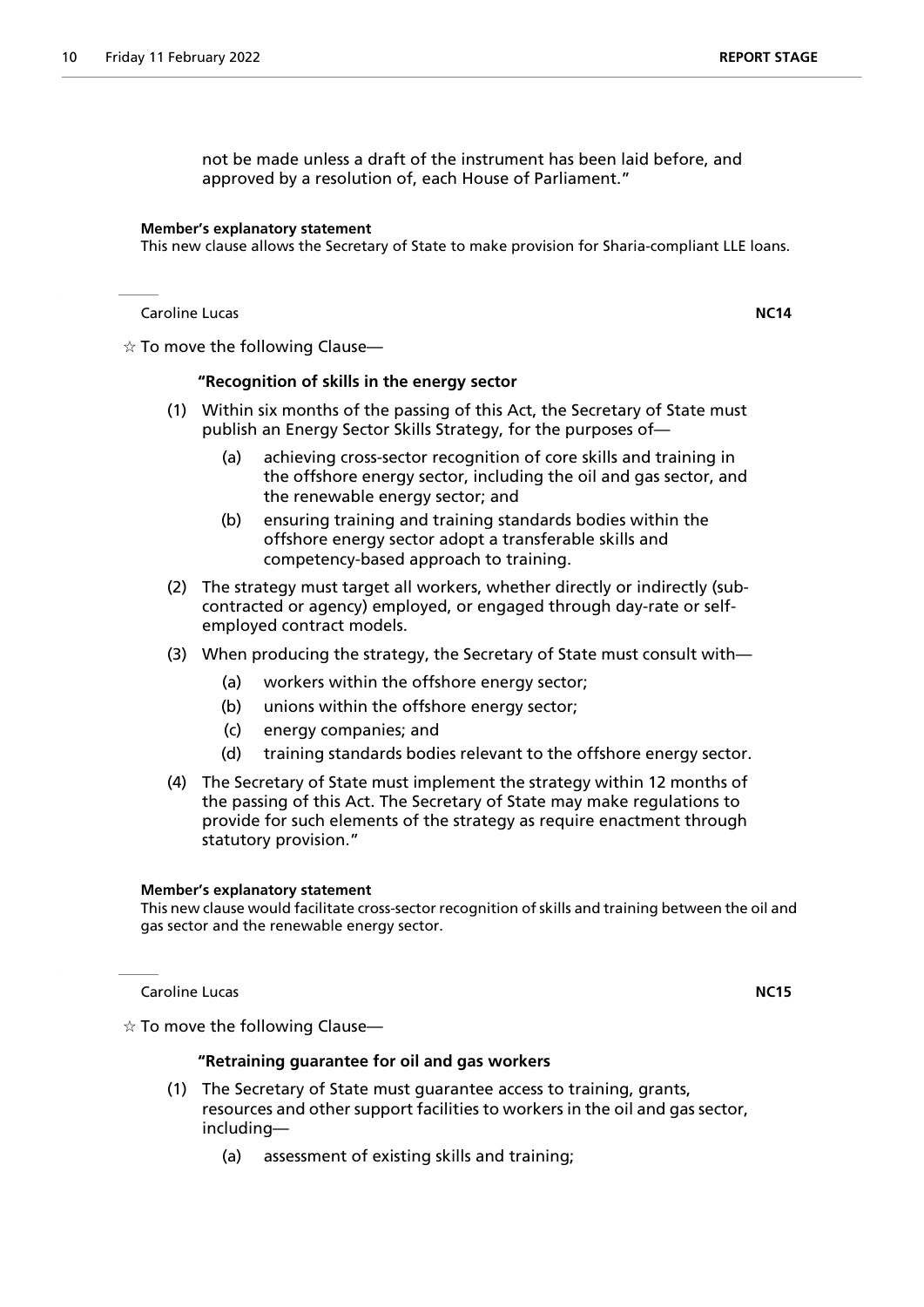not be made unless a draft of the instrument has been laid before, and approved by a resolution of, each House of Parliament."

#### **Member's explanatory statement**

This new clause allows the Secretary of State to make provision for Sharia-compliant LLE loans.

Caroline Lucas **NC14**

 $\dot{\varphi}$  To move the following Clause—

#### **"Recognition of skills in the energy sector**

- (1) Within six months of the passing of this Act, the Secretary of State must publish an Energy Sector Skills Strategy, for the purposes of—
	- (a) achieving cross-sector recognition of core skills and training in the offshore energy sector, including the oil and gas sector, and the renewable energy sector; and
	- (b) ensuring training and training standards bodies within the offshore energy sector adopt a transferable skills and competency-based approach to training.
- (2) The strategy must target all workers, whether directly or indirectly (subcontracted or agency) employed, or engaged through day-rate or selfemployed contract models.
- (3) When producing the strategy, the Secretary of State must consult with—
	- (a) workers within the offshore energy sector;
	- (b) unions within the offshore energy sector;
	- (c) energy companies; and
	- (d) training standards bodies relevant to the offshore energy sector.
- (4) The Secretary of State must implement the strategy within 12 months of the passing of this Act. The Secretary of State may make regulations to provide for such elements of the strategy as require enactment through statutory provision."

# **Member's explanatory statement**

This new clause would facilitate cross-sector recognition of skills and training between the oil and gas sector and the renewable energy sector.

Caroline Lucas **NC15**

 $\dot{\varphi}$  To move the following Clause—

#### **"Retraining guarantee for oil and gas workers**

- (1) The Secretary of State must guarantee access to training, grants, resources and other support facilities to workers in the oil and gas sector, including—
	- (a) assessment of existing skills and training;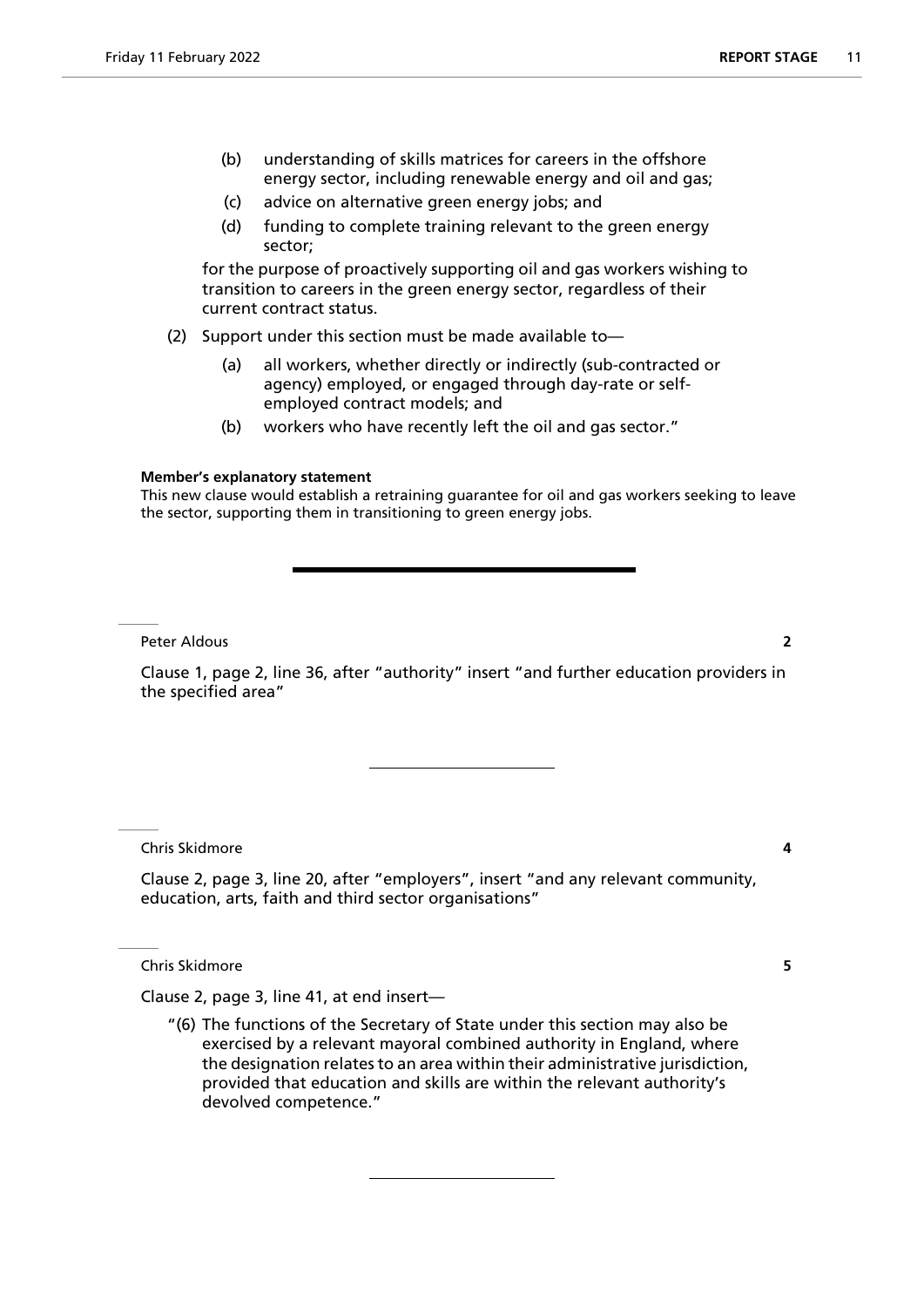- (b) understanding of skills matrices for careers in the offshore energy sector, including renewable energy and oil and gas;
- (c) advice on alternative green energy jobs; and
- (d) funding to complete training relevant to the green energy sector;

for the purpose of proactively supporting oil and gas workers wishing to transition to careers in the green energy sector, regardless of their current contract status.

(2) Support under this section must be made available to—

- (a) all workers, whether directly or indirectly (sub-contracted or agency) employed, or engaged through day-rate or selfemployed contract models; and
- (b) workers who have recently left the oil and gas sector."

#### **Member's explanatory statement**

This new clause would establish a retraining guarantee for oil and gas workers seeking to leave the sector, supporting them in transitioning to green energy jobs.

Peter Aldous **2**

Clause 1, page 2, line 36, after "authority" insert "and further education providers in the specified area"

Chris Skidmore **4**

Clause 2, page 3, line 20, after "employers", insert "and any relevant community, education, arts, faith and third sector organisations"

Chris Skidmore **5**

Clause 2, page 3, line 41, at end insert—

"(6) The functions of the Secretary of State under this section may also be exercised by a relevant mayoral combined authority in England, where the designation relates to an area within their administrative jurisdiction, provided that education and skills are within the relevant authority's devolved competence."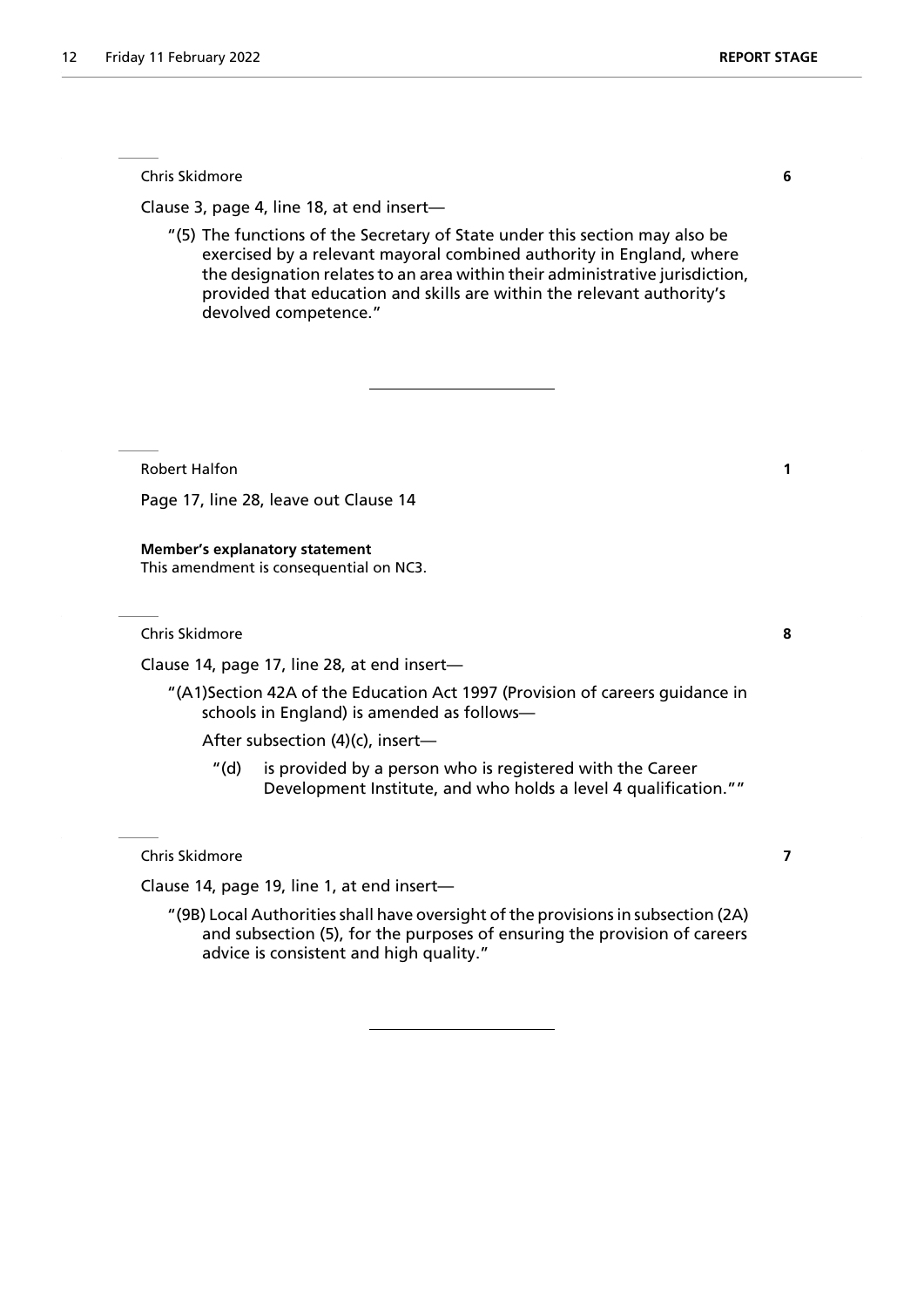Chris Skidmore **6**

Clause 3, page 4, line 18, at end insert—

"(5) The functions of the Secretary of State under this section may also be exercised by a relevant mayoral combined authority in England, where the designation relates to an area within their administrative jurisdiction, provided that education and skills are within the relevant authority's devolved competence."

Robert Halfon **1**

Page 17, line 28, leave out Clause 14

**Member's explanatory statement** This amendment is consequential on NC3.

Chris Skidmore **8**

Clause 14, page 17, line 28, at end insert—

"(A1)Section 42A of the Education Act 1997 (Provision of careers guidance in schools in England) is amended as follows—

After subsection (4)(c), insert—

"(d) is provided by a person who is registered with the Career Development Institute, and who holds a level 4 qualification.""

Chris Skidmore **7**

Clause 14, page 19, line 1, at end insert—

"(9B) Local Authorities shall have oversight of the provisions in subsection (2A) and subsection (5), for the purposes of ensuring the provision of careers advice is consistent and high quality."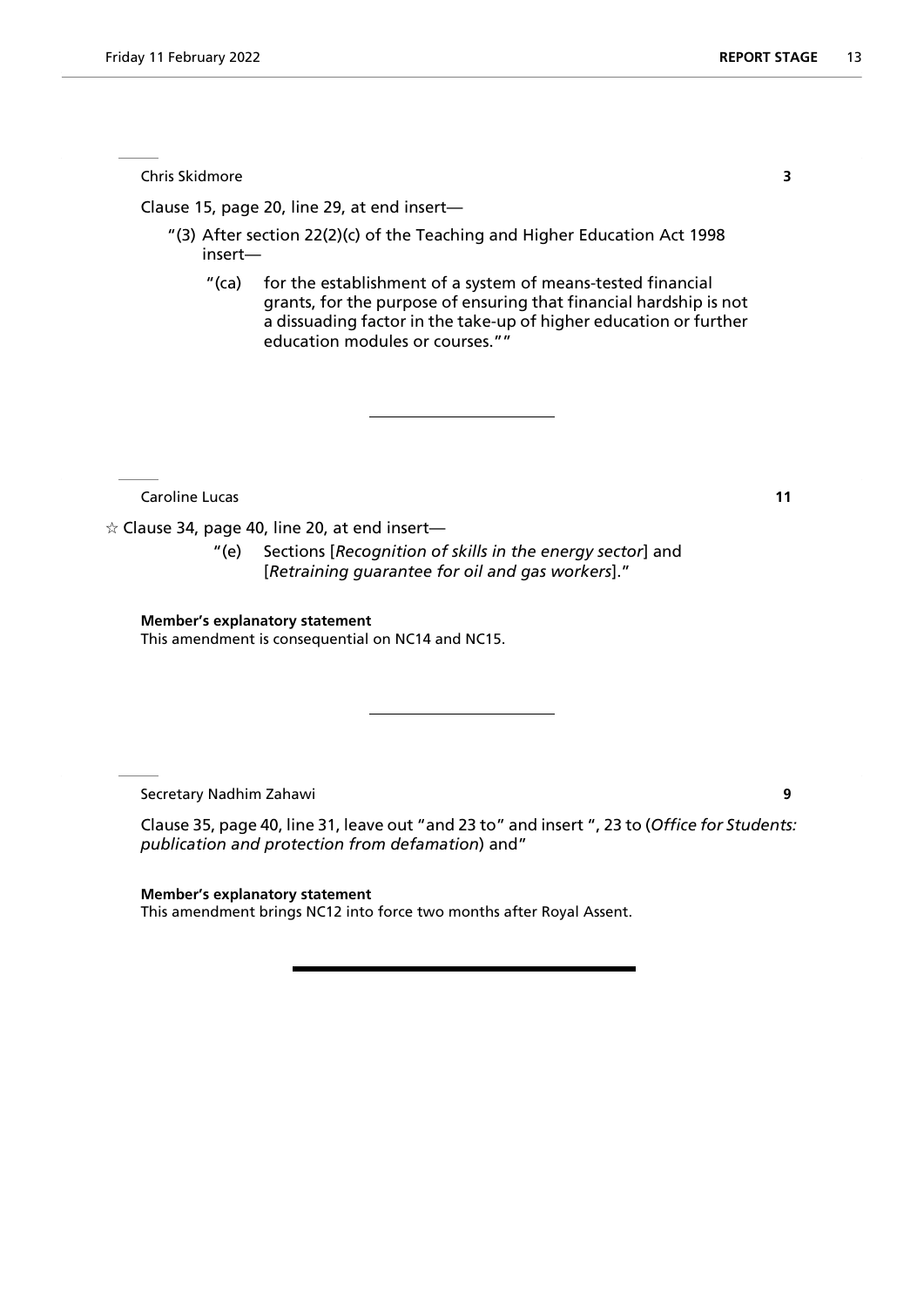Chris Skidmore **3**

Clause 15, page 20, line 29, at end insert—

- "(3) After section 22(2)(c) of the Teaching and Higher Education Act 1998 insert—
	- "(ca) for the establishment of a system of means-tested financial grants, for the purpose of ensuring that financial hardship is not a dissuading factor in the take-up of higher education or further education modules or courses.""

**Caroline Lucas 11** 

 $\alpha$  Clause 34, page 40, line 20, at end insert—

"(e) Sections [*Recognition of skills in the energy sector*] and [*Retraining guarantee for oil and gas workers*]."

# **Member's explanatory statement**

This amendment is consequential on NC14 and NC15.

Secretary Nadhim Zahawi **9**

Clause 35, page 40, line 31, leave out "and 23 to" and insert ", 23 to (*Office for Students: publication and protection from defamation*) and"

**Member's explanatory statement** This amendment brings NC12 into force two months after Royal Assent.